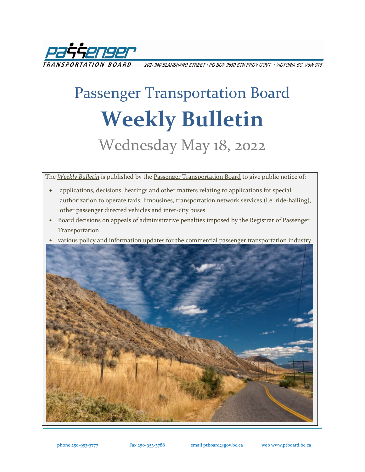

202- 940 BLANSHARD STREET \* PO BOX 9850 STN PROV GOVT \* VICTORIA BC V8W 9T5

# Passenger Transportation Board **Weekly Bulletin** Wednesday May 18, 2022

The *[Weekly Bulletin](https://www.ptboard.bc.ca/bulletins.htm)* is published by th[e Passenger Transportation Board](https://www.ptboard.bc.ca/index.htm) to give public notice of:

- applications, decisions, hearings and other matters relating to applications for special authorization to operate taxis, limousines, transportation network services (i.e. ride-hailing), other passenger directed vehicles and inter-city buses
- Board decisions on appeals of administrative penalties imposed by the Registrar of Passenger Transportation
- various policy and information updates for the commercial passenger transportation industry

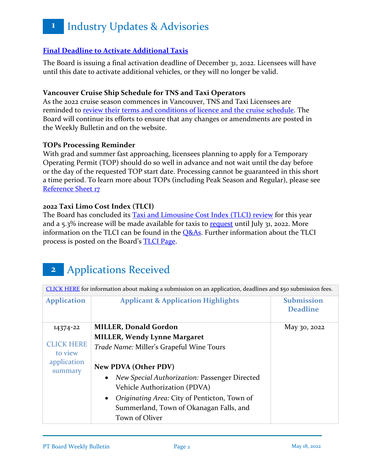### **[Final Deadline to Activate Additional Taxis](https://www.ptboard.bc.ca/documents/ia-taxi-activation-final-extension-2022.pdf)**

The Board is issuing a final activation deadline of December 31, 2022. Licensees will have until this date to activate additional vehicles, or they will no longer be valid.

#### **Vancouver Cruise Ship Schedule for TNS and Taxi Operators**

As the 2022 cruise season commences in Vancouver, TNS and Taxi Licensees are reminded to [review their terms and conditions of licence and the cruise schedule.](https://www.ptboard.bc.ca/documents/ia-Vancouver-Cruise-Ship-Season-Reminder-2022.pdf) The Board will continue its efforts to ensure that any changes or amendments are posted in the Weekly Bulletin and on the website.

#### **TOPs Processing Reminder**

With grad and summer fast approaching, licensees planning to apply for a Temporary Operating Permit (TOP) should do so well in advance and not wait until the day before or the day of the requested TOP start date. Processing cannot be guaranteed in this short a time period. To learn more about TOPs (including Peak Season and Regular), please see [Reference Sheet 17](http://www.th.gov.bc.ca/forms/getForm.aspx?formId=1351)

#### **2022 Taxi Limo Cost Index (TLCI)**

The Board has concluded its **Taxi and Limousine Cost Index (TLCI) review** for this year and a 5.3% increase will be made available for taxis to [request](https://www.th.gov.bc.ca/forms/getForm.aspx?formId=1377) until July 31, 2022. More information on the TLCI can be found in the **O&As**. Further information about the TLCI process is posted on the Board's [TLCI Page.](https://www.ptboard.bc.ca/tlci.htm)

## **2** Applications Received

[CLICK HERE](https://www.ptboard.bc.ca/making_submissions.htm) for information about making a submission on an application, deadlines and \$50 submission fees. **Application Applicant & Application Highlights Submission Deadline** 14374-22 [CLICK HERE](https://www.ptboard.bc.ca/applications/2022/20220518/14374-22-Miller-Donald-and-Miller-Wendy-Application-Summary.pdf)  to view application summary **MILLER, Donald Gordon MILLER, Wendy Lynne Margaret** *Trade Name:* Miller's Grapeful Wine Tours **New PDVA (Other PDV)** • *New Special Authorization:* Passenger Directed Vehicle Authorization (PDVA) • *Originating Area:* City of Penticton, Town of Summerland, Town of Okanagan Falls, and May 30, 2022

Town of Oliver